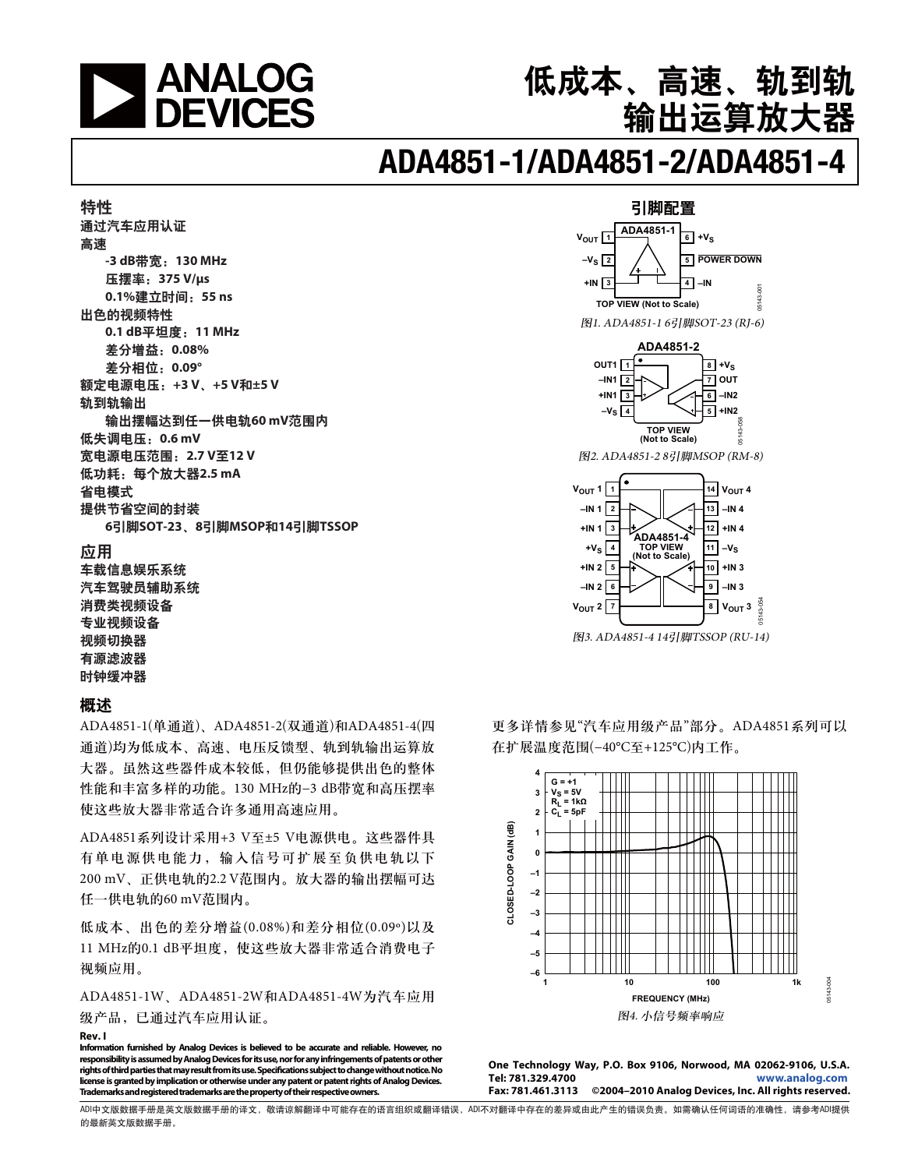

# 低成本、高速、轨到轨 输出运算放大器

# **ADA4851-1/ADA4851-2/ADA4851-4**

#### 特性 通过汽车应用认证 高速 **-3 dB带宽: 130 MHz** 压摆率: 375 V/μs **0.1%建立时间: 55 ns** 出色的视频特性  **0.1 dB**ೝ།܈ǖ**11 MHz** 差分增益: 0.08% 差分相位: 0.09° 额定电源电压: +3 V、+5 V和±5 V 轨到轨输出 输出摆幅达到任一供电轨60mV范围内 低失调电压: 0.6 mV 宽电源电压范围: 2.7 V至12 V 低功耗: 每个放大器2.5 mA 省申模式 提供节省空间的封装  $6$ 引脚SOT-23、8引脚MSOP和14引脚TSSOP 应用 车载信息娱乐系统 汽车驾驶员辅助系统

消费类视频设备 专业视频设备 视频切换器 有源滤波器 时钟缓冲器

#### 概述

ADA4851-1(单通道)、ADA4851-2(双通道)和ADA4851-4(四 通道)均为低成本、高速、电压反馈型、轨到轨输出运算放 大器。虽然这些器件成本较低,但仍能够提供出色的整体 性能和丰富多样的功能。130 MHz的−3 dB带宽和高压摆率 使这些放大器非常适合许多通用高速应用。

ADA4851系列设计采用+3 V至±5 V电源供电。这些器件具 有单电源供电能力, 输入信号可扩展至负供电轨以下 200 mV、正供电轨的2.2 V范围内。放大器的输出摆幅可达 任一供电轨的60 mV范围内。

低成本、出色的差分增益(0.08%)和差分相位(0.09°)以及 11 MHz的0.1 dB平坦度, 使这些放大器非常适合消费电子 视频应用。

ADA4851-1W、ADA4851-2W和ADA4851-4W为汽车应用 级产品,已通过汽车应用认证。

#### **Rev. I**

**Information furnished by Analog Devices is believed to be accurate and reliable. However, no responsibility is assumed by Analog Devices for its use, nor for any infringements of patents or other rights of third parties that may result from its use. Specifications subject to change without notice. No license is granted by implication or otherwise under any patent or patent rights of Analog Devices. Trademarks and registered trademarks are the property of their respective owners.** 

#### 引脚配置



**6**  $V_{\text{OUT}}$  2  $\boxed{7}$ **–IN 2 9 –IN 3**  $8 \mid V_{\text{OUT}} 3$ 05143-054

图3. ADA4851-4 14引脚TSSOP (RU-14)

更多详情参见"汽车应用级产品"部分。ADA4851系列可以 在扩展温度范围(-40℃至+125℃)内工作。



**One Technology Way, P.O. Box 9106, Norwood, MA 02062-9106, U.S.A. Tel: 781.329.4700 www.analog.com Fax: 781.461.3113 ©2004–2010 Analog Devices, Inc. All rights reserved.** 

ADI中文版数据手册是英文版数据手册的译文,敬请谅解翻译中可能存在的语言组织或翻译错误,ADI不对翻译中存在的差异或由此产生的错误负责。如需确认任何词语的准确性,请参考ADI提供 的最新英文版数据手册。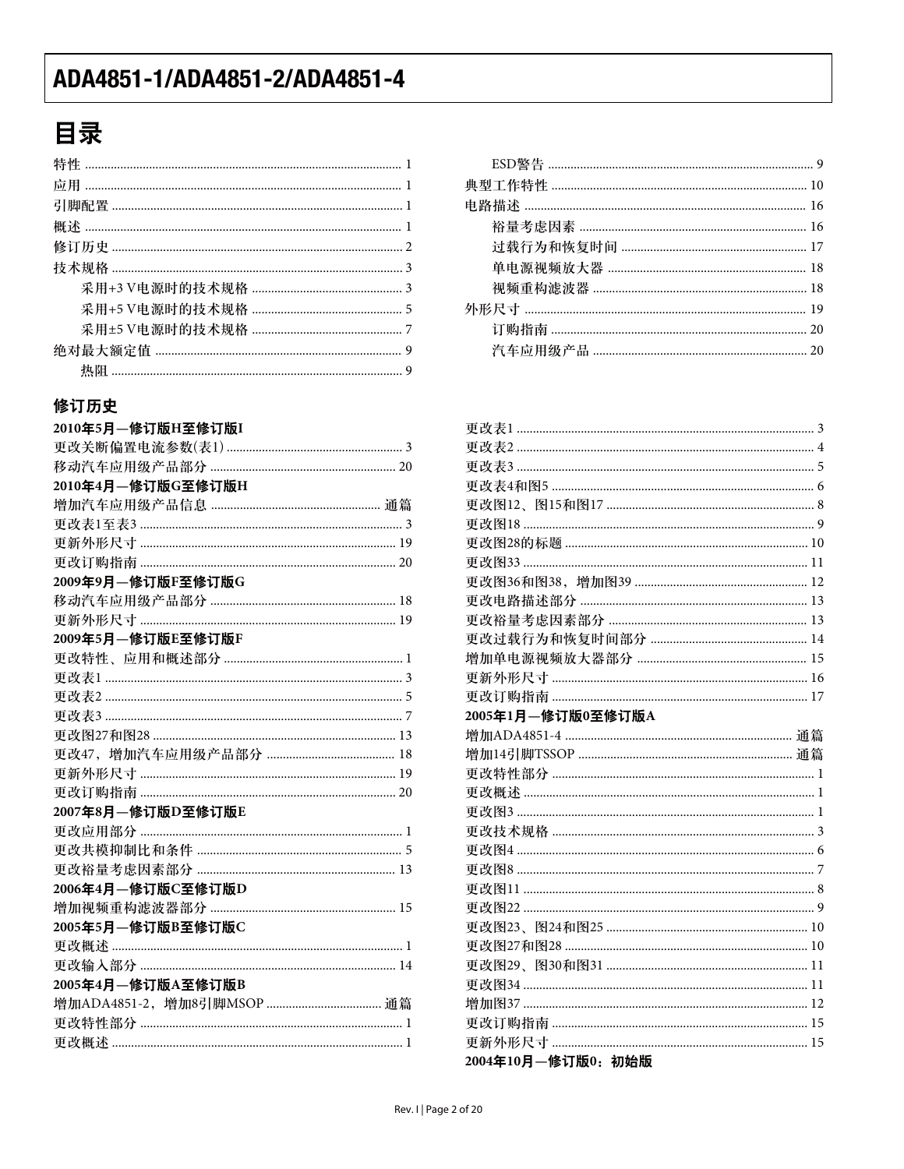# 目录

### 修订历史

| 2010年5月-修订版H至修订版I |
|-------------------|
|                   |
|                   |
| 2010年4月-修订版G至修订版H |
|                   |
|                   |
|                   |
|                   |
| 2009年9月-修订版F至修订版G |
|                   |
|                   |
| 2009年5月-修订版E至修订版F |
|                   |
|                   |
|                   |
|                   |
|                   |
|                   |
|                   |
|                   |
| 2007年8月-修订版D至修订版E |
|                   |
|                   |
|                   |
| 2006年4月-修订版C至修订版D |
|                   |
| 2005年5月-修订版B至修订版C |
|                   |
|                   |
| 2005年4月-修订版A至修订版B |
|                   |
|                   |
|                   |

| $\overline{1}$ |  |
|----------------|--|
| $\mathbf{1}$   |  |
| $\overline{1}$ |  |
| $\overline{1}$ |  |
| $\overline{2}$ |  |
| 3              |  |
| 3              |  |
| -5             |  |
| . 7            |  |
| $\mathbf{q}$   |  |
|                |  |

| 2005年1月-修订版0至修订版A    |
|----------------------|
|                      |
|                      |
|                      |
|                      |
|                      |
|                      |
|                      |
|                      |
|                      |
|                      |
|                      |
|                      |
|                      |
|                      |
|                      |
|                      |
|                      |
| 2004年10月 - 修订版0: 初始版 |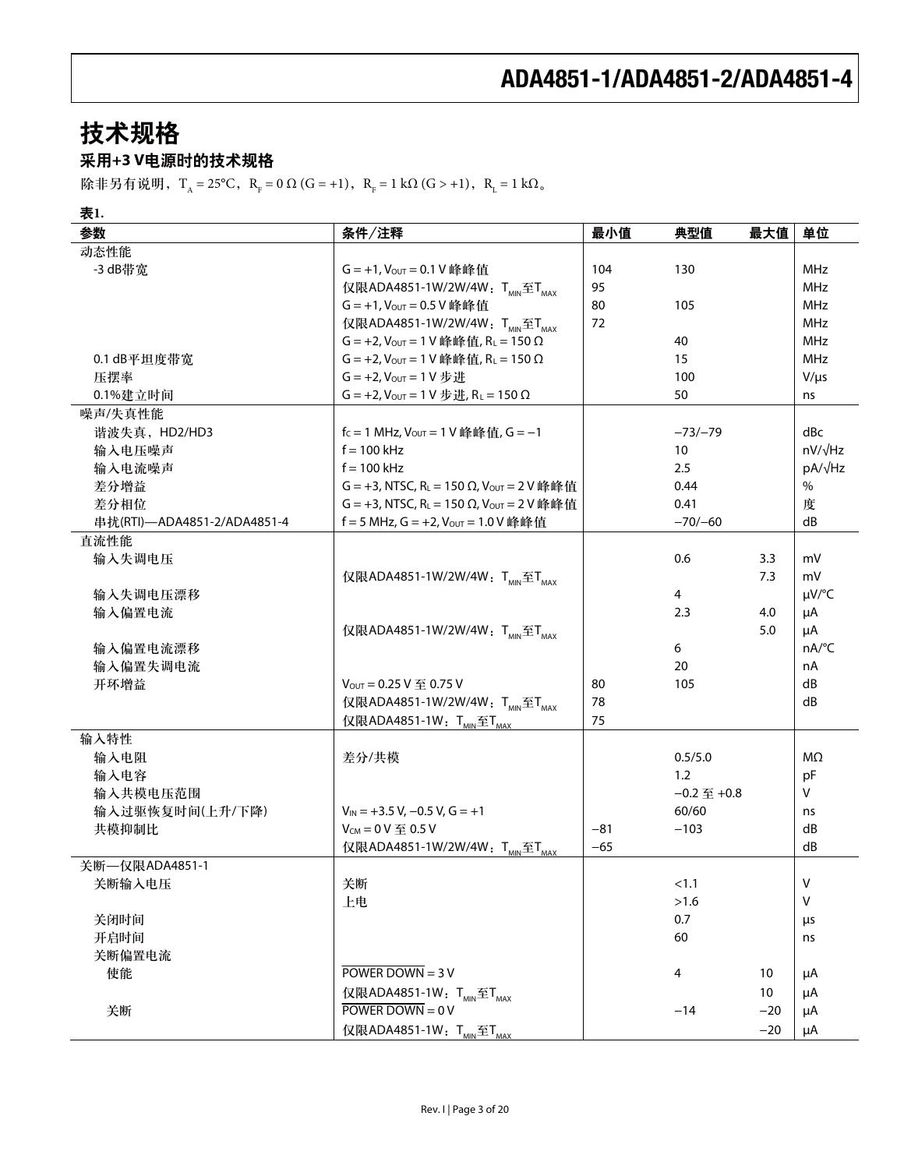# 技术规格

### 采用+3 V电源时的技术规格

除非另有说明,T<sub>A</sub> = 25°C, R<sub>F</sub> = 0 Ω (G = +1), R<sub>F</sub> = 1 kΩ (G > +1), R<sub>L</sub> = 1 kΩ<sub>o</sub>

### 表1.

| 参数                          | 条件/注释                                                                | 最小值   | 典型值              | 最大值   | 单位             |
|-----------------------------|----------------------------------------------------------------------|-------|------------------|-------|----------------|
| 动态性能                        |                                                                      |       |                  |       |                |
| -3 dB带宽                     | G = +1, Vout = 0.1 V 峰峰值                                             | 104   | 130              |       | <b>MHz</b>     |
|                             | 仅限ADA4851-1W/2W/4W: TMIN至TMAX                                        | 95    |                  |       | MHz            |
|                             | G = +1, Vout = 0.5 V 峰峰值                                             | 80    | 105              |       | MHz            |
|                             | 仅限ADA4851-1W/2W/4W: T <sub>MIN</sub> 至T <sub>MAX</sub>               | 72    |                  |       | MHz            |
|                             | $G = +2$ , $V_{OUT} = 1 V$ 峰峰值, $R_L = 150 \Omega$                   |       | 40               |       | MHz            |
| 0.1 dB平坦度带宽                 | $G = +2$ , $V_{OUT} = 1$ V 峰峰值, R <sub>L</sub> = 150 $\Omega$        |       | 15               |       | MHz            |
| 压摆率                         | $G = +2$ , $V_{OUT} = 1 V # H$                                       |       | 100              |       | $V/\mu s$      |
| 0.1%建立时间                    | G = +2, $V_{\text{OUT}}$ = 1 V $\#H$ , R <sub>L</sub> = 150 $\Omega$ |       | 50               |       | ns             |
| 噪声/失真性能                     |                                                                      |       |                  |       |                |
| 谐波失真, HD2/HD3               | $f_c = 1$ MHz, $V_{OUT} = 1$ V 峰峰值, $G = -1$                         |       | $-73/-79$        |       | dBc            |
| 输入电压噪声                      | $f = 100$ kHz                                                        |       | 10               |       | $nV/\sqrt{Hz}$ |
| 输入电流噪声                      | $f = 100$ kHz                                                        |       | 2.5              |       | pA/√Hz         |
| 差分增益                        | G = +3, NTSC, RL = 150 Ω, Vout = 2 V 峰峰值                             |       | 0.44             |       | $\%$           |
| 差分相位                        | G = +3, NTSC, R <sub>L</sub> = 150 Ω, V <sub>OUT</sub> = 2 V 峰峰值     |       | 0.41             |       | 度              |
| 串扰(RTI)-ADA4851-2/ADA4851-4 | f = 5 MHz, G = +2, $V_{OUT}$ = 1.0 V 峰峰值                             |       | $-70/-60$        |       | dB             |
| 直流性能                        |                                                                      |       |                  |       |                |
| 输入失调电压                      |                                                                      |       | 0.6              | 3.3   | mV             |
|                             | 仅限ADA4851-1W/2W/4W: TMIN至TMAX                                        |       |                  | 7.3   | mV             |
| 输入失调电压漂移                    |                                                                      |       | $\overline{4}$   |       | µV/°C          |
| 输入偏置电流                      |                                                                      |       | 2.3              | 4.0   | μA             |
|                             | 仅限ADA4851-1W/2W/4W: TMIN至TMAX                                        |       |                  | 5.0   | μA             |
| 输入偏置电流漂移                    |                                                                      |       | 6                |       | nA/°C          |
| 输入偏置失调电流                    |                                                                      |       | 20               |       | nA             |
| 开环增益                        | $V_{OUT} = 0.25 V \ncong 0.75 V$                                     | 80    | 105              |       | dB             |
|                             | 仅限ADA4851-1W/2W/4W: TMIN至TMAX                                        | 78    |                  |       | dB             |
|                             | 仅限ADA4851-1W: T <sub>MIN</sub> 至T <sub>MAX</sub>                     | 75    |                  |       |                |
| 输入特性                        |                                                                      |       |                  |       |                |
| 输入电阻                        | 差分/共模                                                                |       | 0.5/5.0          |       | $M\Omega$      |
| 输入电容                        |                                                                      |       | 1.2              |       | pF             |
| 输入共模电压范围                    |                                                                      |       | $-0.2 \leq +0.8$ |       | V              |
| 输入过驱恢复时间(上升/下降)             | $V_{IN}$ = +3.5 V, -0.5 V, G = +1                                    |       | 60/60            |       | ns             |
| 共模抑制比                       | $V_{CM} = 0 V \nsubseteq 0.5 V$                                      | $-81$ | $-103$           |       | dB             |
|                             | 仅限ADA4851-1W/2W/4W: TMIN至TMAX                                        | $-65$ |                  |       | dB             |
| 关断––仅限ADA4851-1             |                                                                      |       |                  |       |                |
| 关断输入电压                      | 关断                                                                   |       | < 1.1            |       | V              |
|                             | 上电                                                                   |       | >1.6             |       | $\vee$         |
| 关闭时间                        |                                                                      |       | 0.7              |       | μs             |
| 开启时间                        |                                                                      |       | 60               |       | ns             |
| 关断偏置电流                      |                                                                      |       |                  |       |                |
| 使能                          | POWER DOWN = $3 V$                                                   |       | 4                | 10    | μA             |
|                             | 仅限ADA4851-1W: T <sub>MIN</sub> 至T <sub>MAX</sub>                     |       |                  | 10    | μA             |
| 关断                          | POWER DOWN = $0V$                                                    |       | $-14$            | $-20$ | μA             |
|                             |                                                                      |       |                  |       |                |
|                             | 仅限ADA4851-1W: T <sub>MIN</sub> 至T <sub>MAX</sub>                     |       |                  | $-20$ | μA             |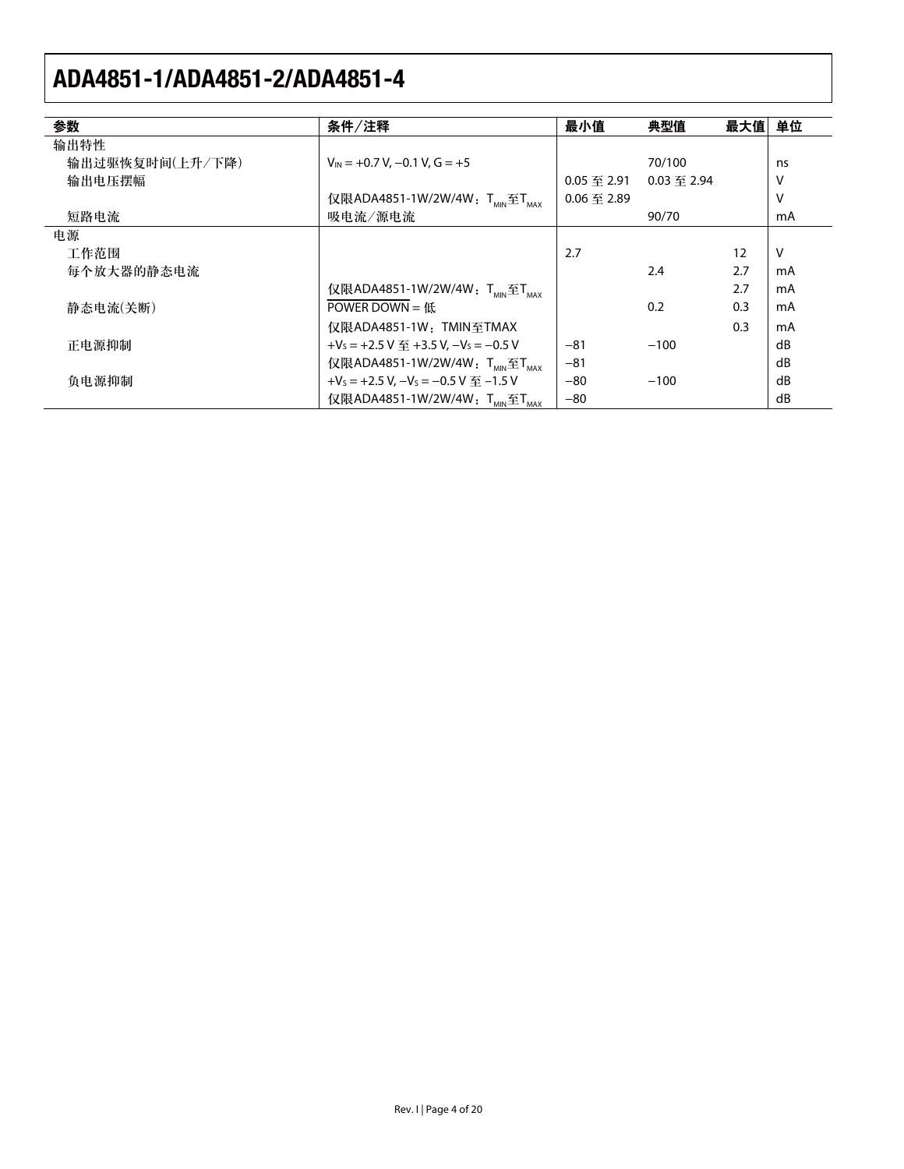| 参数              | 条件/注释                                                           | 最小值                | 典型值                | 最大值 | 单位 |
|-----------------|-----------------------------------------------------------------|--------------------|--------------------|-----|----|
| 输出特性            |                                                                 |                    |                    |     |    |
| 输出过驱恢复时间(上升/下降) | $V_{IN}$ = +0.7 V, -0.1 V, G = +5                               |                    | 70/100             |     | ns |
| 输出电压摆幅          |                                                                 | $0.05 \ncong 2.91$ | $0.03 \ncong 2.94$ |     | ٧  |
|                 | 仅限ADA4851-1W/2W/4W: TMN至TMAX                                    | $0.06 \ncong 2.89$ |                    |     | ν  |
| 短路电流            | 吸电流/源电流                                                         |                    | 90/70              |     | mA |
| 电源              |                                                                 |                    |                    |     |    |
| 工作范围            |                                                                 | 2.7                |                    | 12  | V  |
| 每个放大器的静态电流      |                                                                 |                    | 2.4                | 2.7 | mA |
|                 | 仅限ADA4851-1W/2W/4W: TMN至TMAX                                    |                    |                    | 2.7 | mA |
| 静态电流(关断)        | POWER DOWN = $f(x)$                                             |                    | 0.2                | 0.3 | mA |
|                 | 仅限ADA4851-1W: TMIN至TMAX                                         |                    |                    | 0.3 | mA |
| 正电源抑制           | $+V_s = +2.5 V \ncong +3.5 V, -V_s = -0.5 V$                    | $-81$              | $-100$             |     | dB |
|                 | 仅限ADA4851-1W/2W/4W: TMN至TMAX                                    | $-81$              |                    |     | dB |
| 负电源抑制           | +V <sub>s</sub> = +2.5 V, $-V_s$ = -0.5 V $\overline{=}$ -1.5 V | $-80$              | $-100$             |     | dB |
|                 | 仅限ADA4851-1W/2W/4W: TMIN至TMAX                                   | $-80$              |                    |     | dB |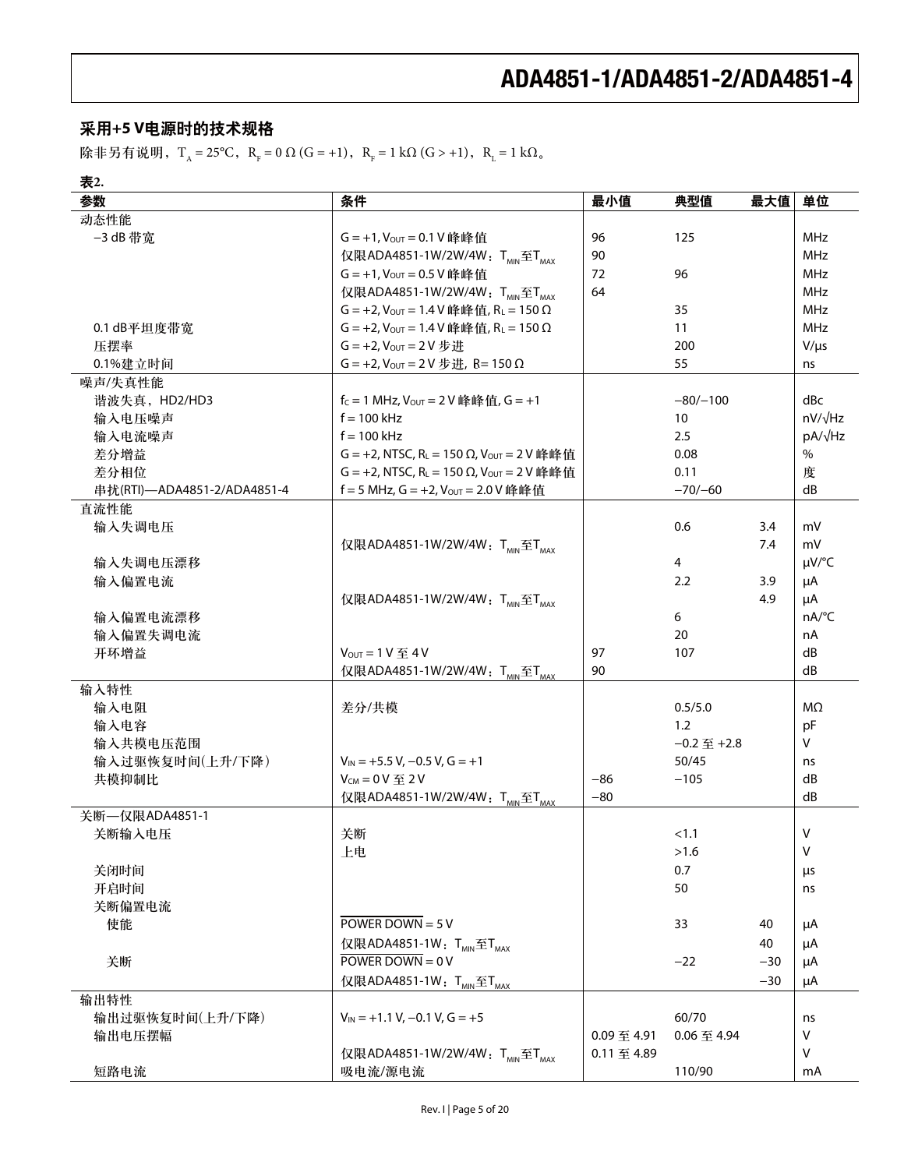### 采用+5 V电源时的技术规格

除非另有说明,T<sub>A</sub> = 25°C, R<sub>F</sub> = 0 Ω (G = +1), R<sub>F</sub> = 1 kΩ (G > +1), R<sub>L</sub> = 1 kΩ<sub>o</sub>

| т.<br>×<br>×<br>۰.<br>× |
|-------------------------|
|-------------------------|

| 参数                          | 条件                                                               | 最小值         | 典型值                | 最大值   | 单位             |
|-----------------------------|------------------------------------------------------------------|-------------|--------------------|-------|----------------|
| 动态性能                        |                                                                  |             |                    |       |                |
| -3 dB 带宽                    | G = +1, Vout = 0.1 V 峰峰值                                         | 96          | 125                |       | <b>MHz</b>     |
|                             | 仅限ADA4851-1W/2W/4W: T <sub>MIN</sub> 至T <sub>MAX</sub>           | 90          |                    |       | <b>MHz</b>     |
|                             | G = +1, Vout = 0.5 V 峰峰值                                         | 72          | 96                 |       | MHz            |
|                             | 仅限ADA4851-1W/2W/4W: T <sub>MIN</sub> 至T <sub>MAX</sub>           | 64          |                    |       | MHz            |
|                             | $G = +2$ , $V_{OUT} = 1.4 V$ 峰峰值, RL = 150 $\Omega$              |             | 35                 |       | MHz            |
| 0.1 dB平坦度带宽                 | $G = +2$ , $V_{OUT} = 1.4 V$ 峰峰值, RL = 150 $\Omega$              |             | 11                 |       | MHz            |
| 压摆率                         | $G = +2$ , $V_{OUT} = 2V \frac{1}{V}$ 进                          |             | 200                |       | $V/\mu s$      |
| 0.1%建立时间                    | $G = +2$ , $V_{OUT} = 2 V  #  #$ , R= 150 $\Omega$               |             | 55                 |       | ns             |
| 噪声/失真性能                     |                                                                  |             |                    |       |                |
| 谐波失真, HD2/HD3               | $f_C = 1$ MHz, $V_{OUT} = 2V$ 峰峰值, $G = +1$                      |             | $-80/-100$         |       | dBc            |
| 输入电压噪声                      | $f = 100$ kHz                                                    |             | 10                 |       | $nV/\sqrt{Hz}$ |
| 输入电流噪声                      | $f = 100$ kHz                                                    |             | 2.5                |       | $pA/\sqrt{Hz}$ |
| 差分增益                        | G = +2, NTSC, R <sub>L</sub> = 150 Ω, V <sub>OUT</sub> = 2 V 峰峰值 |             | 0.08               |       | $\frac{0}{0}$  |
| 差分相位                        | G = +2, NTSC, R <sub>L</sub> = 150 Ω, V <sub>OUT</sub> = 2 V 峰峰值 |             | 0.11               |       | 度              |
| 串扰(RTI)-ADA4851-2/ADA4851-4 | f = 5 MHz, G = +2, Vout = 2.0 V 峰峰值                              |             | $-70/-60$          |       | dB             |
| 直流性能                        |                                                                  |             |                    |       |                |
| 输入失调电压                      |                                                                  |             | 0.6                | 3.4   | mV             |
|                             | 仅限ADA4851-1W/2W/4W: TMIN至TMAX                                    |             |                    | 7.4   | mV             |
| 输入失调电压漂移                    |                                                                  |             | $\overline{4}$     |       | µV/°C          |
| 输入偏置电流                      |                                                                  |             | 2.2                | 3.9   | μA             |
|                             | 仅限ADA4851-1W/2W/4W: T <sub>MIN</sub> 至T <sub>MAX</sub>           |             |                    | 4.9   | μA             |
| 输入偏置电流漂移                    |                                                                  |             | 6                  |       | nA/°C          |
| 输入偏置失调电流                    |                                                                  |             | 20                 |       | nA             |
| 开环增益                        | $V_{OUT} = 1 V \nsubseteq 4 V$                                   | 97          | 107                |       | dB             |
|                             | 仅限ADA4851-1W/2W/4W: TMIN至TMAX                                    | 90          |                    |       | dB             |
| 输入特性                        |                                                                  |             |                    |       |                |
| 输入电阻                        | 差分/共模                                                            |             | 0.5/5.0            |       | MΩ             |
| 输入电容                        |                                                                  |             | 1.2                |       | pF             |
| 输入共模电压范围                    |                                                                  |             | $-0.2 \ncong +2.8$ |       | V              |
| 输入过驱恢复时间(上升/下降)             | $V_{IN}$ = +5.5 V, -0.5 V, G = +1                                |             | 50/45              |       | ns             |
| 共模抑制比                       | $V_{CM} = 0 V \ncong 2 V$                                        | $-86$       | $-105$             |       | dB             |
|                             | 仅限ADA4851-1W/2W/4W: T <sub>MIN</sub> 至T <sub>MAX</sub>           | $-80$       |                    |       | dB             |
| 关断-- 仅限ADA4851-1            |                                                                  |             |                    |       |                |
| 关断输入电压                      | 关断                                                               |             | < 1.1              |       | V              |
|                             | 上电                                                               |             | >1.6               |       | $\vee$         |
| 关闭时间                        |                                                                  |             | 0.7                |       | μs             |
| 开启时间                        |                                                                  |             | 50                 |       | ns             |
| 关断偏置电流                      |                                                                  |             |                    |       |                |
| 使能                          | POWER DOWN = $5V$                                                |             | 33                 | 40    | μA             |
|                             | 仅限ADA4851-1W: T <sub>MIN</sub> 至T <sub>MAX</sub>                 |             |                    | 40    | μA             |
| 关断                          | POWER DOWN = $0V$                                                |             | $-22$              | $-30$ | μA             |
|                             | 仅限ADA4851-1W: T <sub>MIN</sub> 至T <sub>MAX</sub>                 |             |                    | $-30$ | μA             |
| 输出特性                        |                                                                  |             |                    |       |                |
| 输出过驱恢复时间(上升/下降)             | $V_{IN}$ = +1.1 V, -0.1 V, G = +5                                |             | 60/70              |       | ns             |
| 输出电压摆幅                      |                                                                  | 0.09 至 4.91 | 0.06至4.94          |       | V              |
|                             | 仅限ADA4851-1W/2W/4W: TMIN至TMAX                                    | 0.11至4.89   |                    |       | V              |
| 短路电流                        | 吸电流/源电流                                                          |             | 110/90             |       | mA             |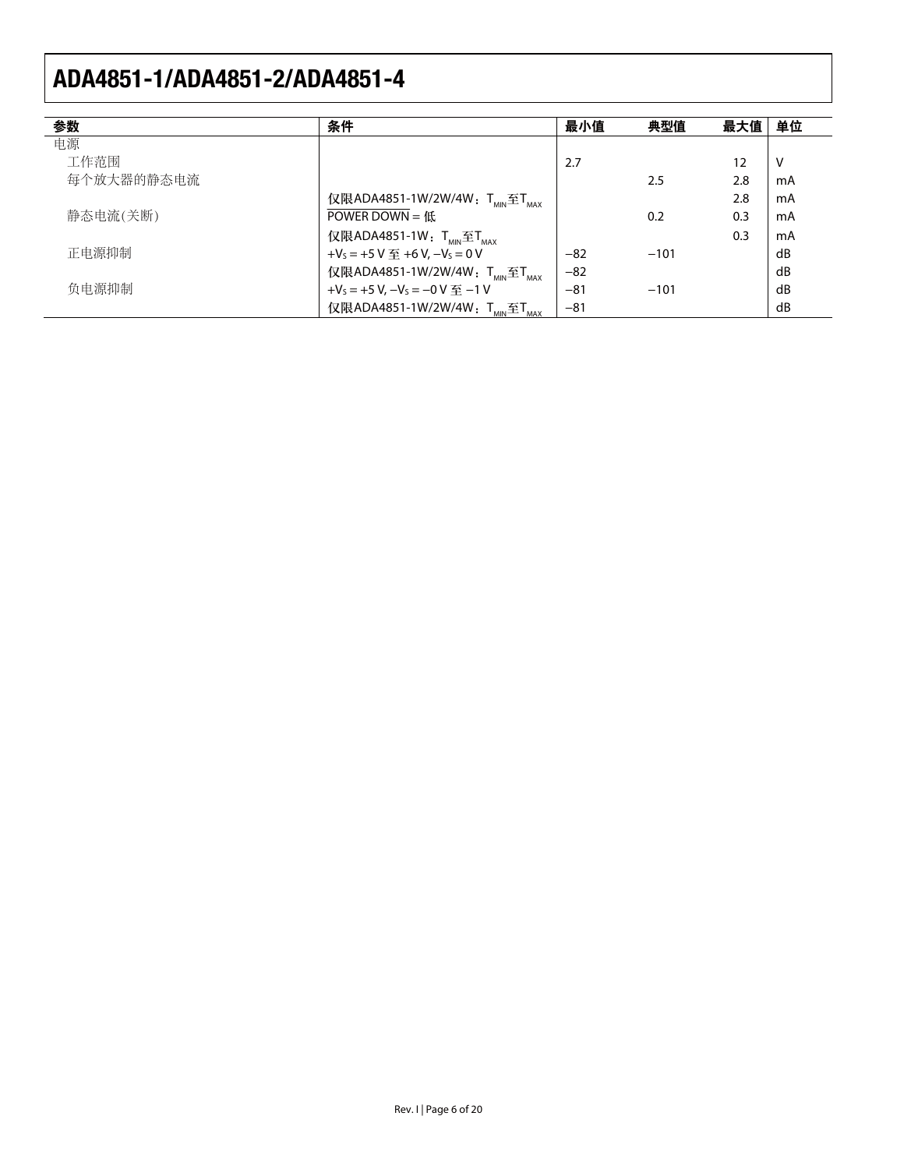| 参数         | 条件                                                          | 最小值   | 典型值    | 最大值 | 单位 |
|------------|-------------------------------------------------------------|-------|--------|-----|----|
| 电源         |                                                             |       |        |     |    |
| 工作范围       |                                                             | 2.7   |        | 12  | V  |
| 每个放大器的静态电流 |                                                             |       | 2.5    | 2.8 | mA |
|            | 仅限ADA4851-1W/2W/4W: TMN至TMAX                                |       |        | 2.8 | mA |
| 静态电流(关断)   | POWER DOWN = $f(x)$                                         |       | 0.2    | 0.3 | mA |
|            | 仅限ADA4851-1W: $T_{\text{MIN}} \widehat{\Xi} T_{\text{MAX}}$ |       |        | 0.3 | mA |
| 正电源抑制      | + $V_s$ = +5 V $\overline{\mathfrak{D}}$ +6 V, $-V_s$ = 0 V | $-82$ | $-101$ |     | dB |
|            | 仅限ADA4851-1W/2W/4W: T <sub>MIN</sub> 至T <sub>MAX</sub>      | $-82$ |        |     | dB |
| 负电源抑制      | + $V_s$ = +5 V, $-V_s$ = $-0$ V $\mp$ $-1$ V                | $-81$ | $-101$ |     | dB |
|            | 仅限ADA4851-1W/2W/4W: T <sub>MIN</sub> 至T <sub>MAX</sub>      | $-81$ |        |     | dB |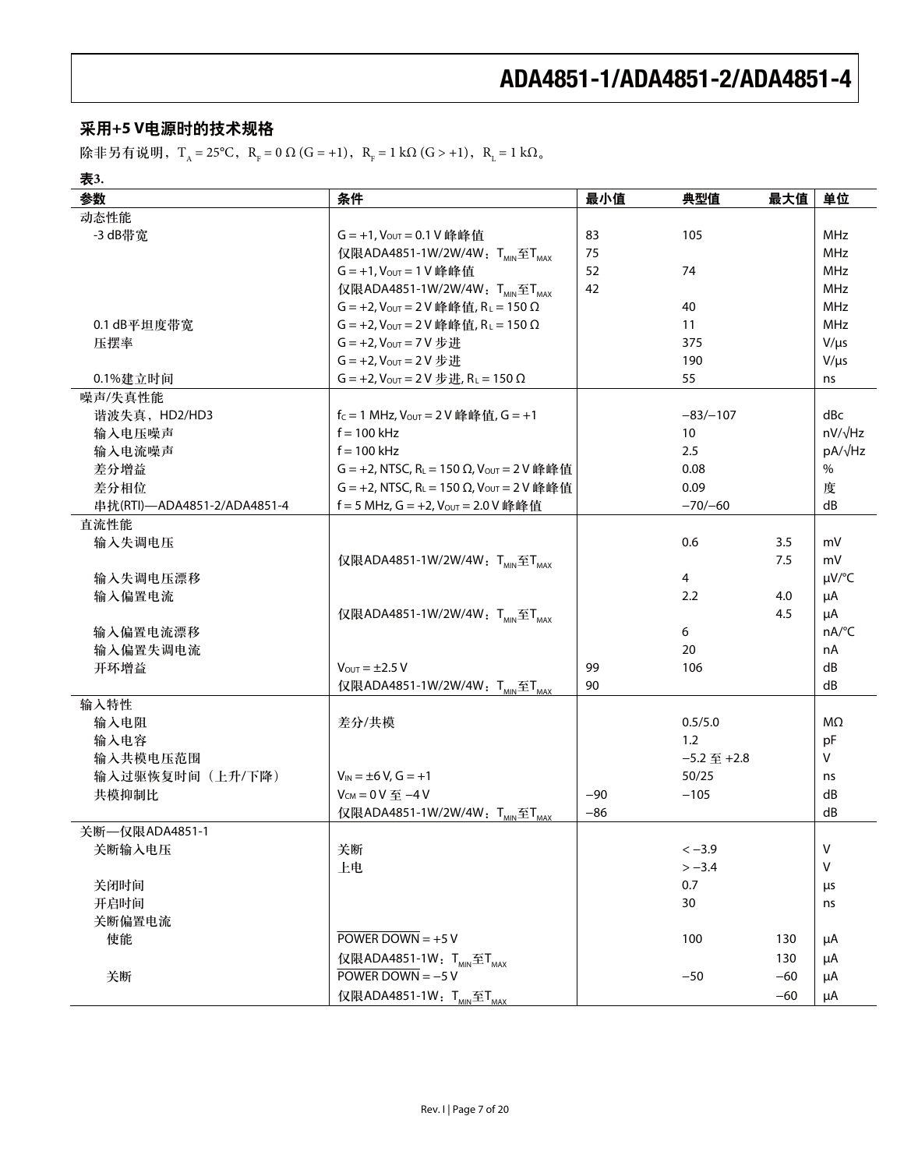### 采用+5 V电源时的技术规格

除非另有说明,T<sub>A</sub> = 25°C, R<sub>F</sub> = 0 Ω (G = +1), R<sub>F</sub> = 1 kΩ (G > +1), R<sub>L</sub> = 1 kΩ<sub>o</sub>

| ۰,<br>× |  |
|---------|--|

| 参数                          | 条件                                                               | 最小值   | 典型值                | 最大值   | 单位                  |
|-----------------------------|------------------------------------------------------------------|-------|--------------------|-------|---------------------|
| 动态性能                        |                                                                  |       |                    |       |                     |
| -3 dB带宽                     | G = +1, Vout = 0.1 V 峰峰值                                         | 83    | 105                |       | MHz                 |
|                             | 仅限ADA4851-1W/2W/4W: T <sub>MIN</sub> 至T <sub>MAX</sub>           | 75    |                    |       | <b>MHz</b>          |
|                             | G = +1, Vout = 1 V 峰峰值                                           | 52    | 74                 |       | <b>MHz</b>          |
|                             | 仅限ADA4851-1W/2W/4W: T <sub>MIN</sub> 至T <sub>MAX</sub>           | 42    |                    |       | <b>MHz</b>          |
|                             | $G = +2$ , $V_{OUT} = 2V$ 峰峰值, $R_L = 150 \Omega$                |       | 40                 |       | MHz                 |
| 0.1 dB平坦度带宽                 | $G = +2$ , $V_{OUT} = 2V$ 峰峰值, $R_L = 150 \Omega$                |       | 11                 |       | MHz                 |
| 压摆率                         | $G = +2$ , $V_{OUT} = 7V \frac{1}{12}H$                          |       | 375                |       | $V/\mu s$           |
|                             | $G = +2$ , $V_{OUT} = 2V##$                                      |       | 190                |       | $V/\mu s$           |
| 0.1%建立时间                    | $G = +2$ , $V_{OUT} = 2V \frac{1}{V}H$ , $R_L = 150 \Omega$      |       | 55                 |       | ns                  |
| 噪声/失真性能                     |                                                                  |       |                    |       |                     |
| 谐波失真, HD2/HD3               | $f_c = 1$ MHz, $V_{OUT} = 2V$ 峰峰值, $G = +1$                      |       | $-83/-107$         |       | dBc                 |
| 输入电压噪声                      | $f = 100$ kHz                                                    |       | 10                 |       | $nV/\sqrt{Hz}$      |
| 输入电流噪声                      | $f = 100$ kHz                                                    |       | 2.5                |       | $pA/\sqrt{Hz}$      |
| 差分增益                        | G = +2, NTSC, R <sub>L</sub> = 150 Ω, V <sub>OUT</sub> = 2 V 峰峰值 |       | 0.08               |       | $\%$                |
| 差分相位                        | G = +2, NTSC, R <sub>L</sub> = 150 Ω, V <sub>OUT</sub> = 2 V 峰峰值 |       | 0.09               |       | 度                   |
| 串扰(RTI)-ADA4851-2/ADA4851-4 | f = 5 MHz, G = +2, Vout = 2.0 V 峰峰值                              |       | $-70/-60$          |       | dB                  |
| 直流性能                        |                                                                  |       |                    |       |                     |
| 输入失调电压                      |                                                                  |       | 0.6                | 3.5   | mV                  |
|                             | 仅限ADA4851-1W/2W/4W: TMIN至TMAX                                    |       |                    | 7.5   | mV                  |
| 输入失调电压漂移                    |                                                                  |       | $\overline{4}$     |       | $\mu V$ /°C         |
| 输入偏置电流                      |                                                                  |       | 2.2                | 4.0   | μA                  |
|                             | 仅限ADA4851-1W/2W/4W: TMIN至TMAX                                    |       |                    | 4.5   | μA                  |
| 输入偏置电流漂移                    |                                                                  |       | 6                  |       | $nA$ <sup>o</sup> C |
| 输入偏置失调电流                    |                                                                  |       | 20                 |       | nA                  |
| 开环增益                        | $V_{\text{OUT}} = \pm 2.5 V$                                     | 99    | 106                |       | dB                  |
|                             | 仅限ADA4851-1W/2W/4W: T <sub>MIN</sub> 至T <sub>MAX</sub>           | 90    |                    |       | dB                  |
| 输入特性                        |                                                                  |       |                    |       |                     |
| 输入电阻                        | 差分/共模                                                            |       | 0.5/5.0            |       | ΜΩ                  |
| 输入电容                        |                                                                  |       | 1.2                |       | pF                  |
| 输入共模电压范围                    |                                                                  |       | $-5.2 \ncong +2.8$ |       | V                   |
| 输入过驱恢复时间 (上升/下降)            | $V_{IN} = \pm 6 V$ , $G = +1$                                    |       | 50/25              |       | ns                  |
| 共模抑制比                       | $V_{CM} = 0 V 0 = -4 V$                                          | $-90$ | $-105$             |       | dB                  |
|                             | 仅限ADA4851-1W/2W/4W: TMIN至TMAX                                    | $-86$ |                    |       | dB                  |
| 关断––仅限ADA4851-1             |                                                                  |       |                    |       |                     |
| 关断输入电压                      | 关断                                                               |       | $<-3.9$            |       | ${\sf V}$           |
|                             | 上电                                                               |       | $>-3.4$            |       | $\vee$              |
| 关闭时间                        |                                                                  |       | 0.7                |       | μs                  |
| 开启时间                        |                                                                  |       | 30                 |       | ns                  |
| 关断偏置电流                      |                                                                  |       |                    |       |                     |
| 使能                          | POWER DOWN = $+5$ V                                              |       | 100                | 130   | μA                  |
|                             | 仅限ADA4851-1W: T <sub>MIN</sub> 至T <sub>MAX</sub>                 |       |                    | 130   | μA                  |
| 关断                          | POWER DOWN = $-5$ V                                              |       | $-50$              | $-60$ | μA                  |
|                             | 仅限ADA4851-1W: T <sub>MIN</sub> 至T <sub>MAX</sub>                 |       |                    | $-60$ | μA                  |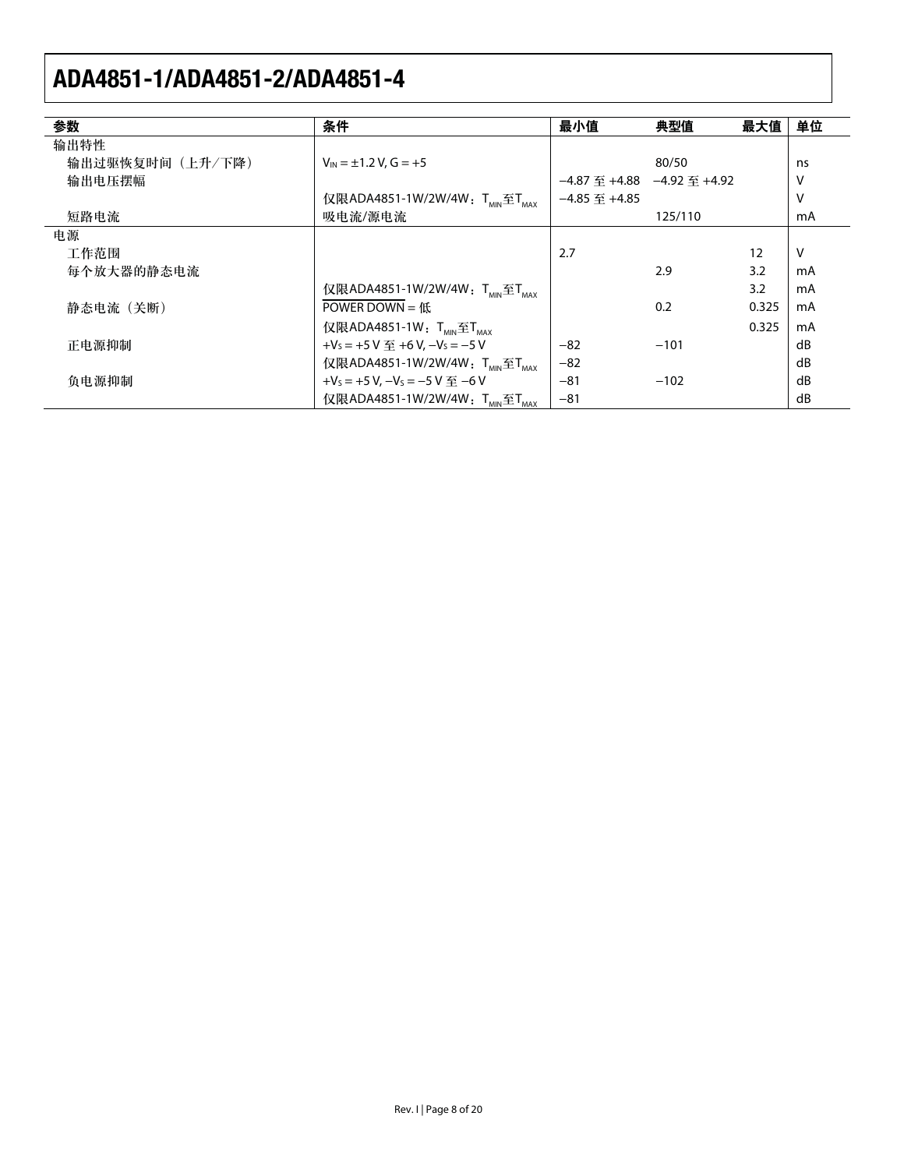| 参数              | 条件                                                           | 最小值                                       | 典型值     | 最大值   | 单位           |
|-----------------|--------------------------------------------------------------|-------------------------------------------|---------|-------|--------------|
| 输出特性            |                                                              |                                           |         |       |              |
| 输出过驱恢复时间(上升/下降) | $V_{\text{IN}} = \pm 1.2$ V, $G = +5$                        |                                           | 80/50   |       | ns           |
| 输出电压摆幅          |                                                              | $-4.87 \ncong +4.88$ $-4.92 \ncong +4.92$ |         |       | V            |
|                 | 仅限ADA4851-1W/2W/4W: T <sub>MIN</sub> 至T <sub>MAX</sub>       | $-4.85 \ncong +4.85$                      |         |       | V            |
| 短路电流            | 吸电流/源电流                                                      |                                           | 125/110 |       | mA           |
| 电源              |                                                              |                                           |         |       |              |
| 工作范围            |                                                              | 2.7                                       |         | 12    | $\mathsf{V}$ |
| 每个放大器的静态电流      |                                                              |                                           | 2.9     | 3.2   | mA           |
|                 | 仅限ADA4851-1W/2W/4W: TMIN至TMAX                                |                                           |         | 3.2   | mA           |
| 静态电流 (关断)       | POWER DOWN = $f(x)$                                          |                                           | 0.2     | 0.325 | mA           |
|                 | 仅限ADA4851-1W: $T_{MIN} \tilde{\Xi} T_{MAX}$                  |                                           |         | 0.325 | mA           |
| 正电源抑制           | + $V_s$ = +5 V $\overline{\mathfrak{D}}$ +6 V, $-V_s$ = -5 V | $-82$                                     | $-101$  |       | dB           |
|                 | 仅限ADA4851-1W/2W/4W: T <sub>MIN</sub> 至T <sub>MAX</sub>       | $-82$                                     |         |       | dB           |
| 负电源抑制           | +V <sub>s</sub> = +5 V, -V <sub>s</sub> = -5 V $\mp$ -6 V    | $-81$                                     | $-102$  |       | dB           |
|                 | 仅限ADA4851-1W/2W/4W: T <sub>MIN</sub> 至T <sub>MAX</sub>       | $-81$                                     |         |       | dB           |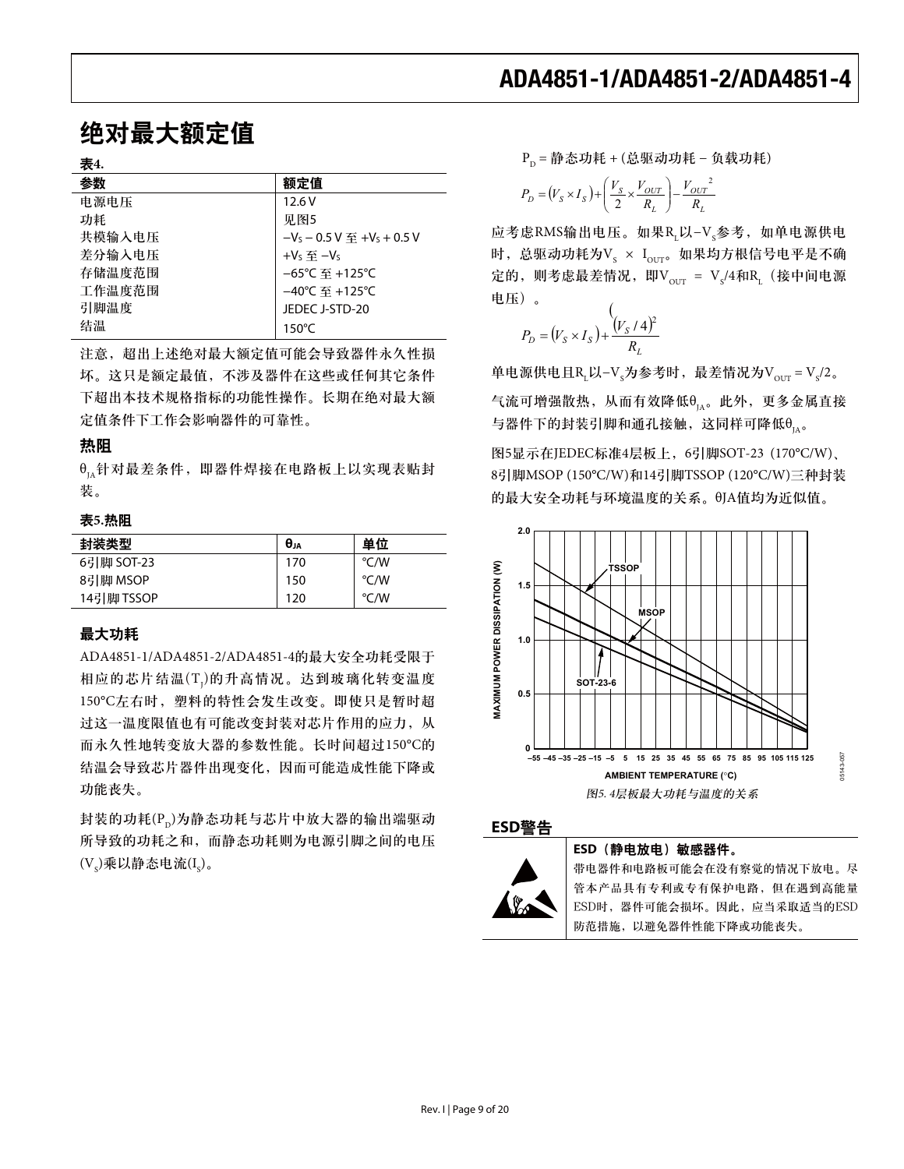## 绝对最大额定值

#### 表4.

| 参数     | 额定值                                 |
|--------|-------------------------------------|
| 电源电压   | 12.6V                               |
| 功耗     | 见图5                                 |
| 共模输入电压 | $-V_s - 0.5 V \ncong +V_s + 0.5 V$  |
| 差分输入电压 | + $V_S \ncong -V_S$                 |
| 存储温度范围 | $-65^{\circ}$ C 至 +125°C            |
| 工作温度范围 | $-40^{\circ}$ C 至 +125 $^{\circ}$ C |
| 引脚温度   | JEDEC J-STD-20                      |
| 结温     | $150^{\circ}$ C                     |

注意, 超出上述绝对最大额定值可能会导致器件永久性损 坏。这只是额定最值,不涉及器件在这些或任何其它条件 下超出本技术规格指标的功能性操作。长期在绝对最大额 定值条件下工作会影响器件的可靠性。

#### 热阻

 $\theta_{1_A}$ 针对最差条件, 即器件焊接在电路板上以实现表贴封 装。

#### 表5.热阻

| 封装类型       | $\theta_{JA}$ | 单位   |
|------------|---------------|------|
| 6引脚 SOT-23 | 170           | °C/W |
| 8引脚 MSOP   | 150           | °C/W |
| 14引脚 TSSOP | 120           | °C/W |

#### 最大功耗

ADA4851-1/ADA4851-2/ADA4851-4的最大安全功耗受限于 相应的芯片结温(T1)的升高情况。达到玻璃化转变温度 150℃左右时, 塑料的特性会发生改变。即使只是暂时超 过这一温度限值也有可能改变封装对芯片作用的应力, 从 而永久性地转变放大器的参数性能。长时间超过150℃的 结温会导致芯片器件出现变化,因而可能造成性能下降或 功能丧失。

封装的功耗(P<sub>D</sub>)为静态功耗与芯片中放大器的输出端驱动 所导致的功耗之和, 而静态功耗则为电源引脚之间的电压  $(V<sub>s</sub>)$ 乘以静态电流 $(I<sub>s</sub>)$ 。

 $P_{n}$  = 静态功耗 + (总驱动功耗 – 负载功耗)

$$
P_D = (V_S \times I_S) + \left(\frac{V_S}{2} \times \frac{V_{OUT}}{R_L}\right) - \frac{V_{OUT}^2}{R_L}
$$

应考虑RMS输出电压。如果RL以-V<sub>s</sub>参考, 如单电源供电 时,总驱动功耗为V $_{\rm S}$  × I $_{\rm our}$ 。如果均方根信号电平是不确 定的,则考虑最差情况,即V $_{\text{OUT}}$  = V $_{\text{s}}$ /4和R $_{\text{L}}$ (接中间电源 电压)。

$$
P_D = (V_S \times I_S) + \frac{(V_S / 4)^2}{R_L}
$$

单电源供电且R<sub>L</sub>以-V<sub>s</sub>为参考时,最差情况为V<sub>our</sub> = V<sub>s</sub>/2。

气流可增强散热, 从而有效降低θ<sub>μ</sub>。此外, 更多金属直接 与器件下的封装引脚和通孔接触,这同样可降低 $\theta_{\rm ns}$ 。

图5显示在JEDEC标准4层板上, 6引脚SOT-23 (170°C/W)、 8引脚MSOP (150°C/W)和14引脚TSSOP (120°C/W)三种封装 的最大安全功耗与环境温度的关系。QJA值均为近似值。



### ߢ**ESD**য়



#### **ESD** (静电放电) 敏感器件。

带电器件和电路板可能会在没有察觉的情况下放电。尽 管本产品具有专利或专有保护电路,但在遇到高能量 ESD时,器件可能会损坏。因此,应当采取适当的ESD 防范措施, 以避免器件性能下降或功能丧失。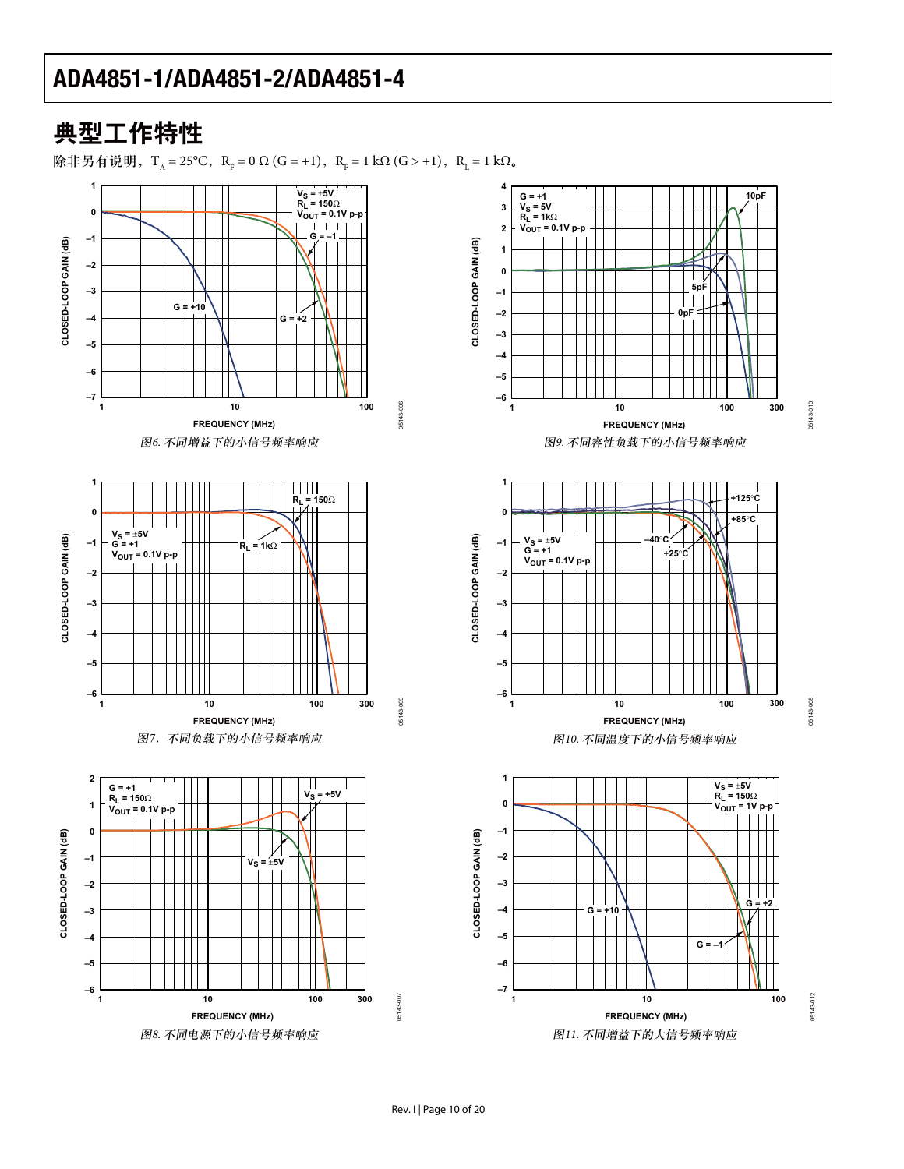## 典型工作特性

除非另有说明, T<sub>A</sub> = 25°C, R<sub>F</sub> = 0 Ω (G = +1), R<sub>F</sub> = 1 kΩ (G > +1), R<sub>L</sub> = 1 kΩ.

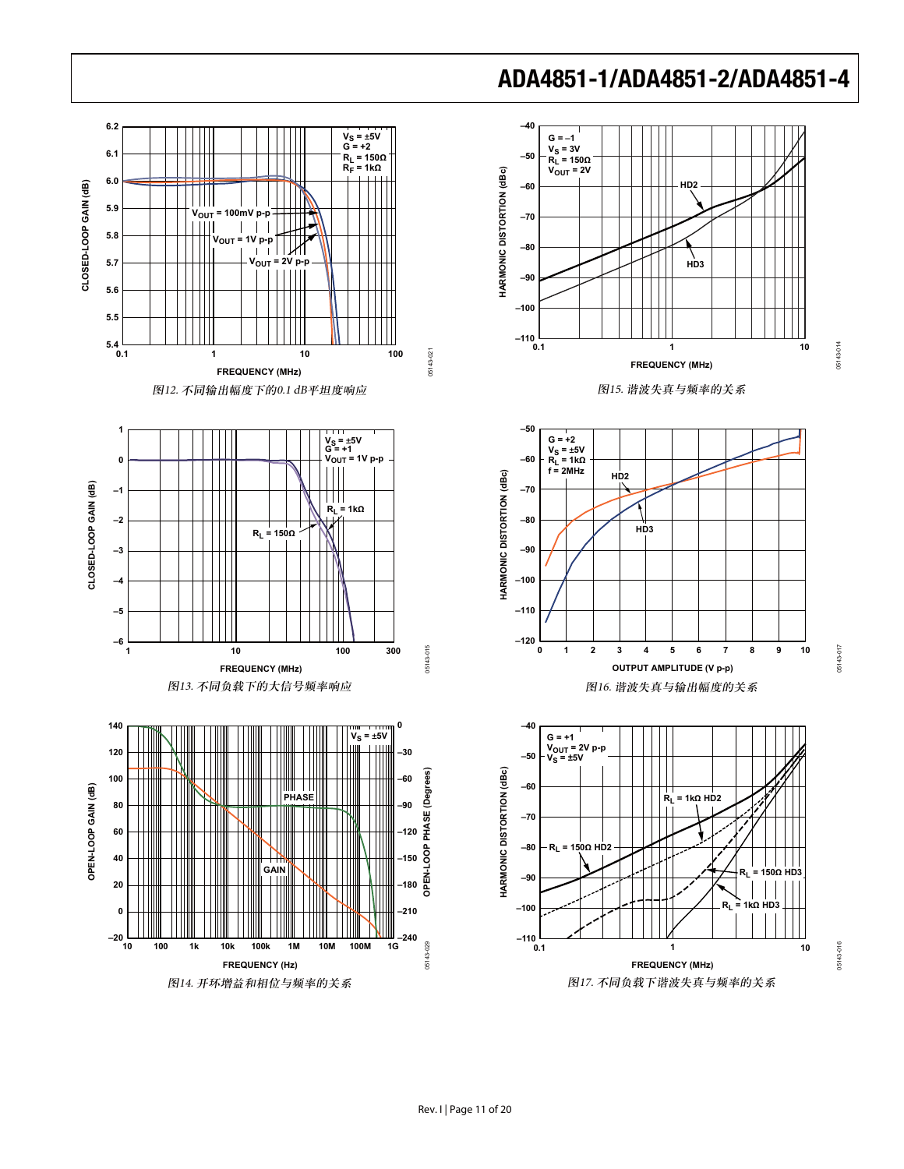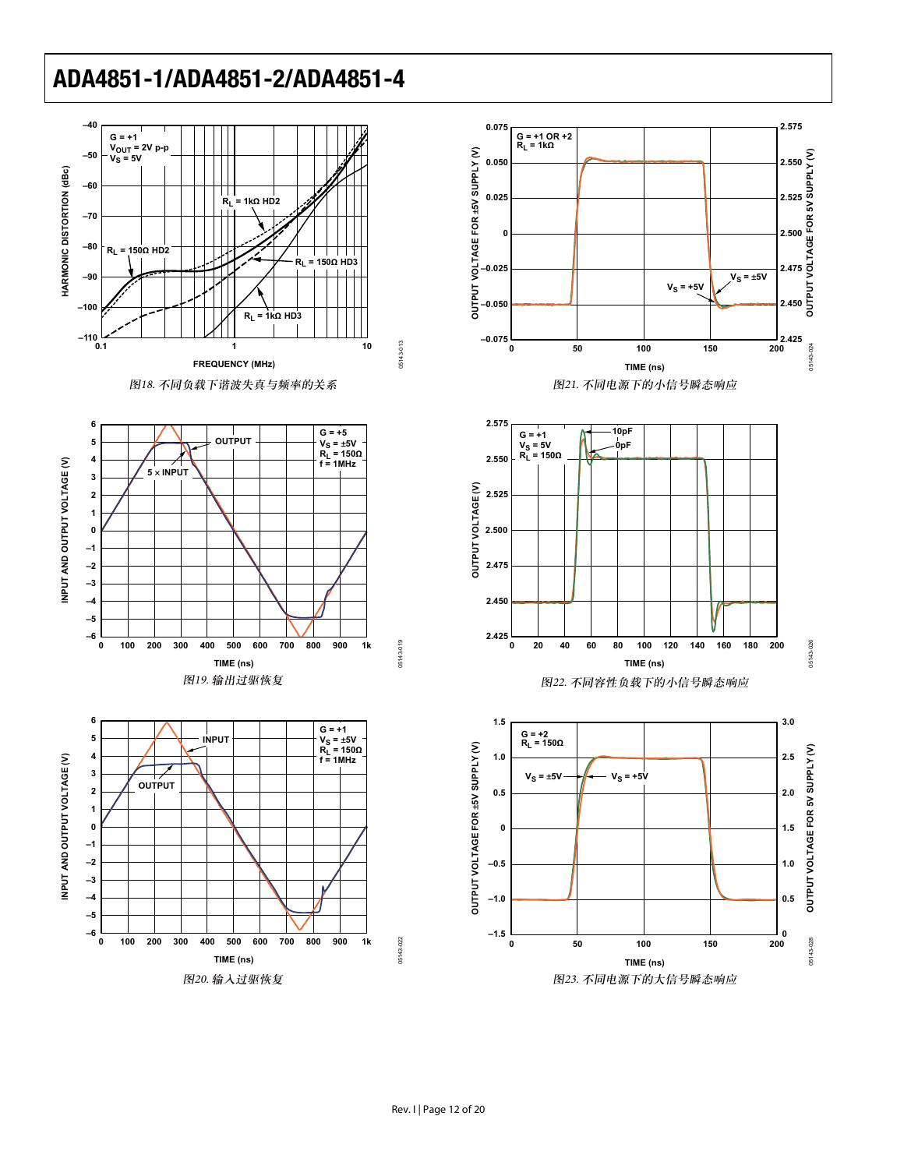

**TIME (ns)**

图20. 输入过驱恢复





**TIME (ns)**

05143-026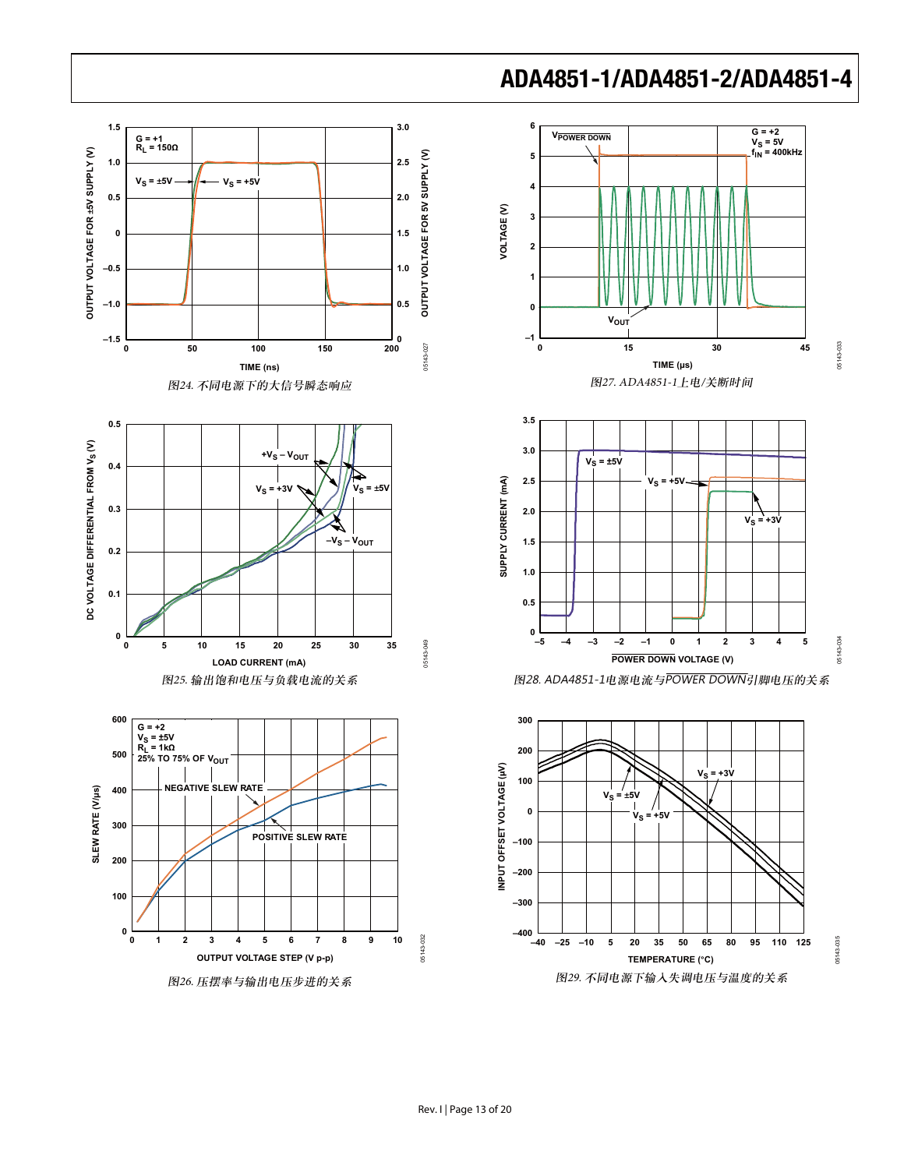

图26. 压摆率与输出电压步进的关系





05143-035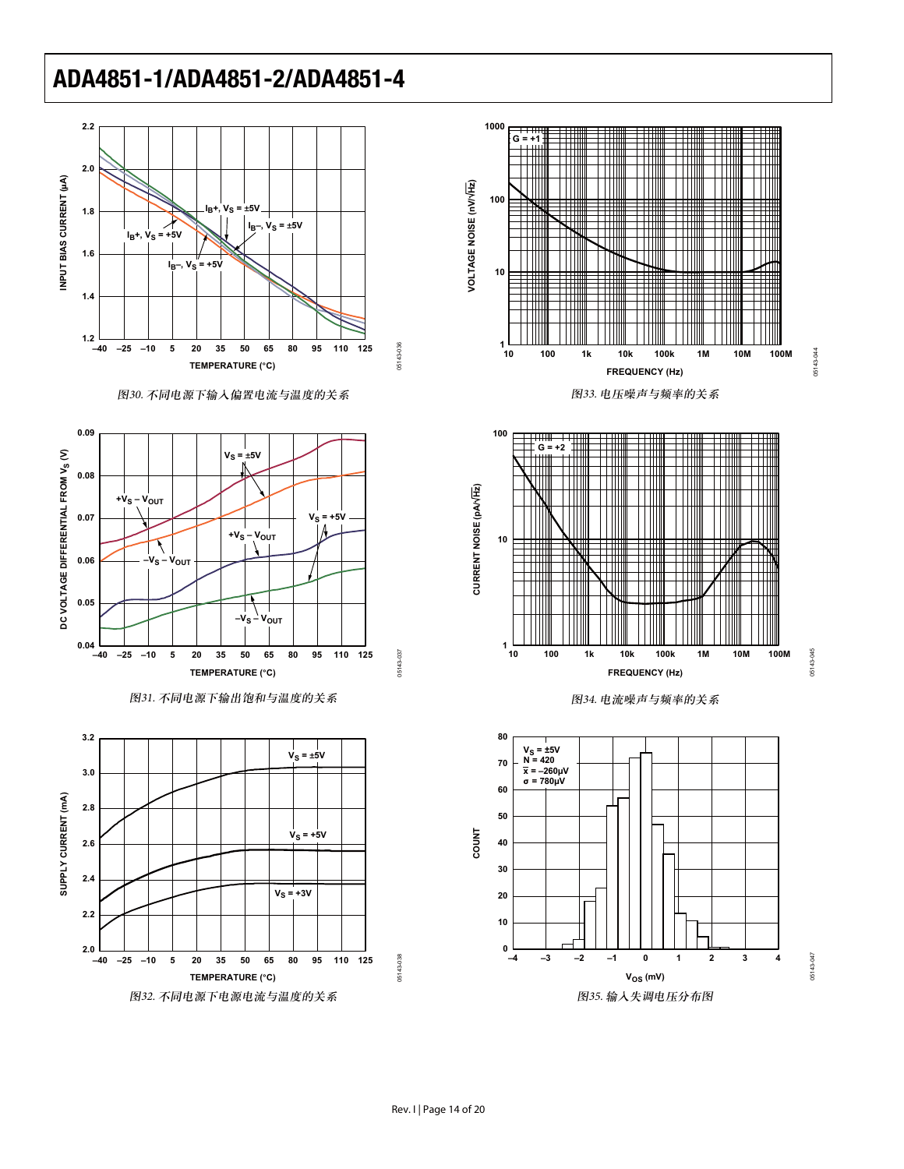

图30. 不同电源下输入偏置电流与温度的关系

















05143-045 05143-045

05143-044

05143-044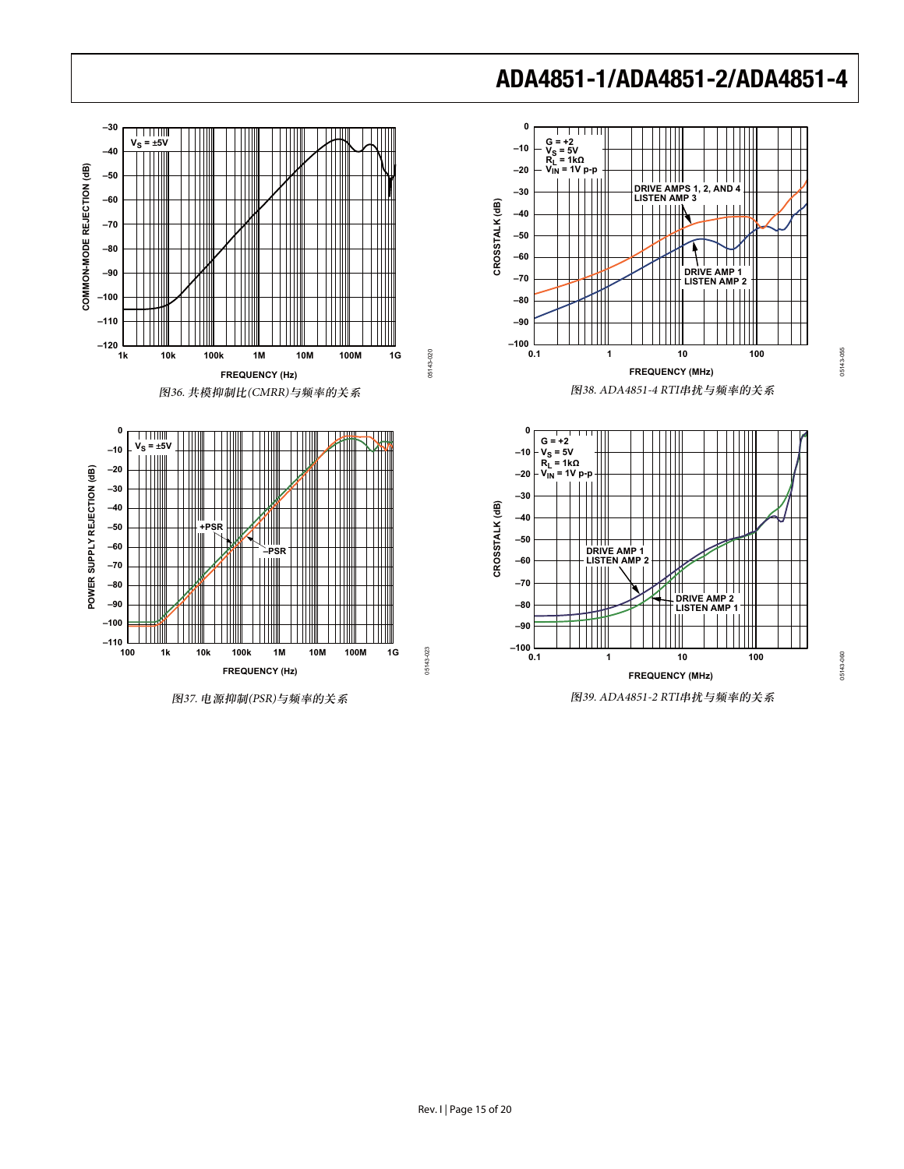

图37. 电源抑制(PSR)与频率的关系

Rev. I | Page 15 of 20

# **ADA4851-1/ADA4851-2/ADA4851-4**

05143-055

05143-055

05143-060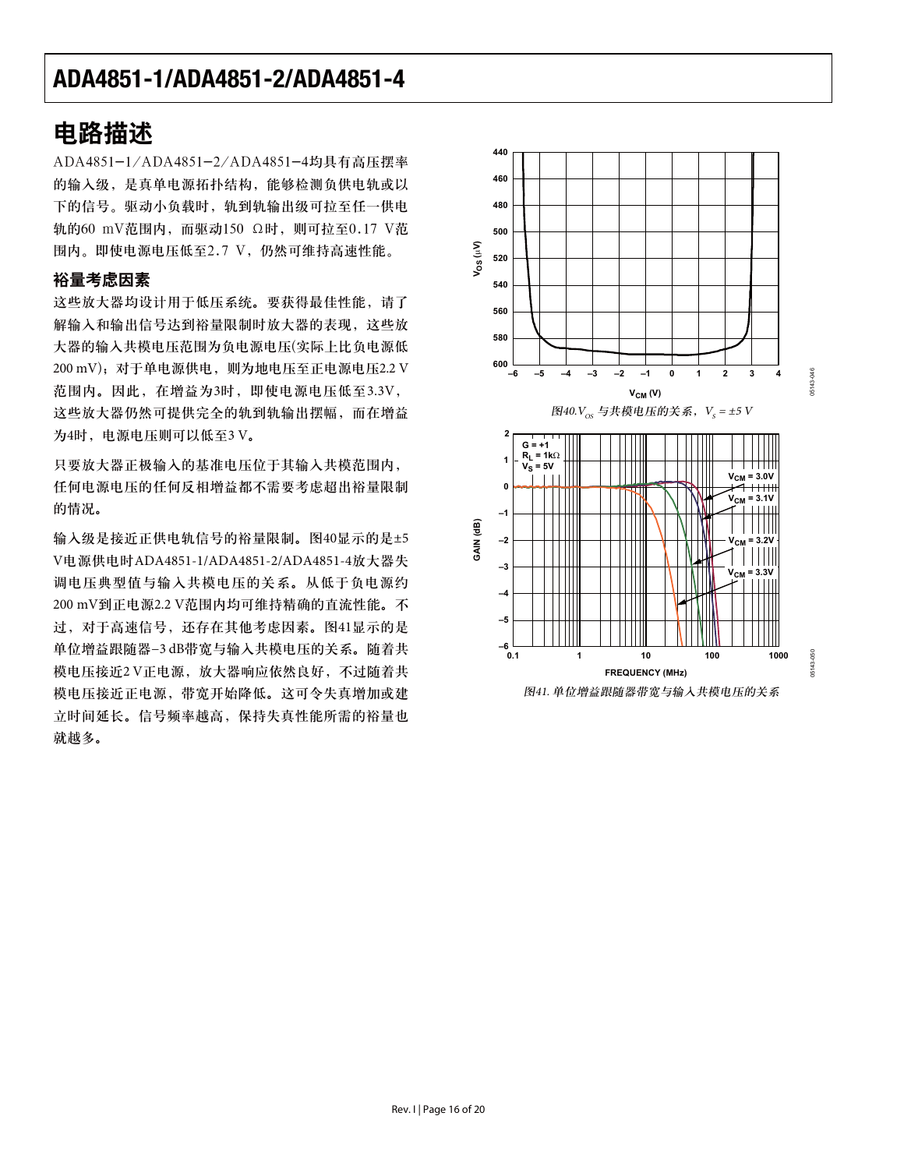## 电路描述

ADA4851-1/ADA4851-2/ADA4851-4均具有高压摆率 的输入级, 是真单电源拓扑结构, 能够检测负供电轨或以 下的信号。驱动小负载时, 轨到轨输出级可拉至任一供电 轨的60 mV范围内, 而驱动150 Ω时, 则可拉至0.17 V范 围内。即使电源电压低至2.7 V, 仍然可维持高速性能。

### 裕量考虑因素

这些放大器均设计用于低压系统。要获得最佳性能, 请了 解输入和输出信号达到裕量限制时放大器的表现,这些放 大器的输入共模电压范围为负电源电压(实际上比负电源低 200 mV); 对于单电源供电, 则为地电压至正电源电压2.2 V 范围内。因此, 在增益为3时, 即使电源电压低至3.3V, 这些放大器仍然可提供完全的轨到轨输出摆幅,而在增益 为4时, 电源电压则可以低至3 V。

只要放大器正极输入的基准电压位于其输入共模范围内, 任何电源电压的任何反相增益都不需要考虑超出裕量限制 的情况。

输入级是接近正供电轨信号的裕量限制。图40显示的是±5 V电源供电时ADA4851-1/ADA4851-2/ADA4851-4放大器失 调电压典型值与输入共模电压的关系。从低于负电源约 200 mV到正电源2.2 V范围内均可维持精确的直流性能。不 过, 对于高速信号, 还存在其他考虑因素。图41显示的是 单位增益跟随器-3 dB带宽与输入共模电压的关系。随着共 模电压接近2V正电源, 放大器响应依然良好, 不过随着共 模电压接近正电源, 带宽开始降低。这可令失真增加或建 立时间延长。信号频率越高, 保持失真性能所需的裕量也 就越多。

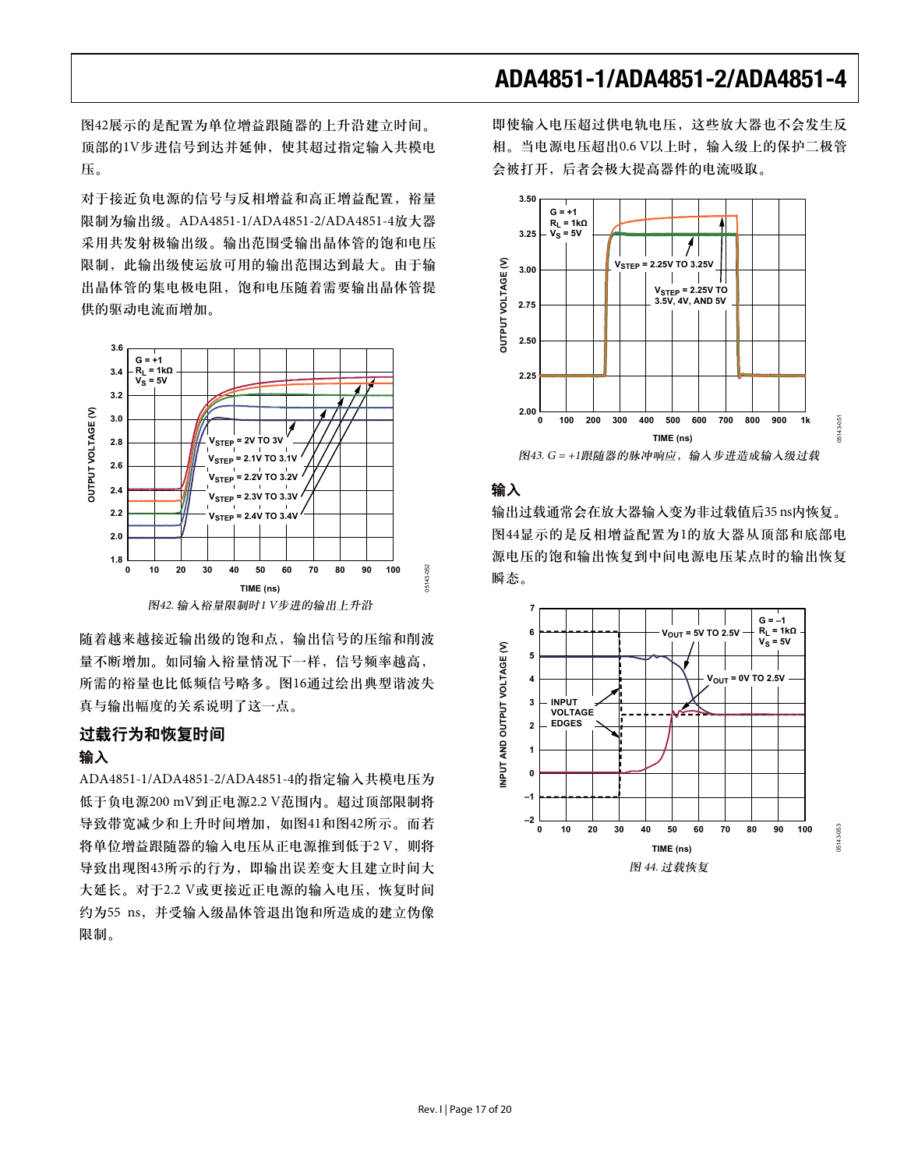图42展示的是配置为单位增益跟随器的上升沿建立时间。 顶部的1V步进信号到达并延伸, 使其超过指定输入共模电 უă

对于接近负电源的信号与反相增益和高正增益配置, 裕量 限制为输出级。ADA4851-1/ADA4851-2/ADA4851-4放大器 采用共发射极输出级。输出范围受输出晶体管的饱和电压 限制, 此输出级使运放可用的输出范围达到最大。由于输 出晶体管的集电极电阻, 饱和电压随着需要输出晶体管提 供的驱动电流而增加。



随着越来越接近输出级的饱和点,输出信号的压缩和削波 量不断增加。如同输入裕量情况下一样,信号频率越高, 所需的裕量也比低频信号略多。图16通过绘出典型谐波失 真与输出幅度的关系说明了这一点。

#### 过载行为和恢复时间

#### 输入

ADA4851-1/ADA4851-2/ADA4851-4的指定输入共模电压为 低于负电源200 mV到正电源2.2 V范围内。超过顶部限制将 导致带宽减少和上升时间增加, 如图41和图42所示。而若 将单位增益跟随器的输入电压从正电源推到低于2V, 则将 导致出现图43所示的行为, 即输出误差变大且建立时间大 大延长。对于2.2 V或更接近正电源的输入电压, 恢复时间 约为55 ns, 并受输入级晶体管退出饱和所造成的建立伪像 限制。

即使输入电压超过供电轨电压,这些放大器也不会发生反 相。当电源电压超出0.6 V以上时, 输入级上的保护二极管 会被打开,后者会极大提高器件的电流吸取。



#### 输入

输出过载通常会在放大器输入变为非过载值后35 ns内恢复。 图44显示的是反相增益配置为1的放大器从顶部和底部电 源电压的饱和输出恢复到中间电源电压某点时的输出恢复 瞬态。

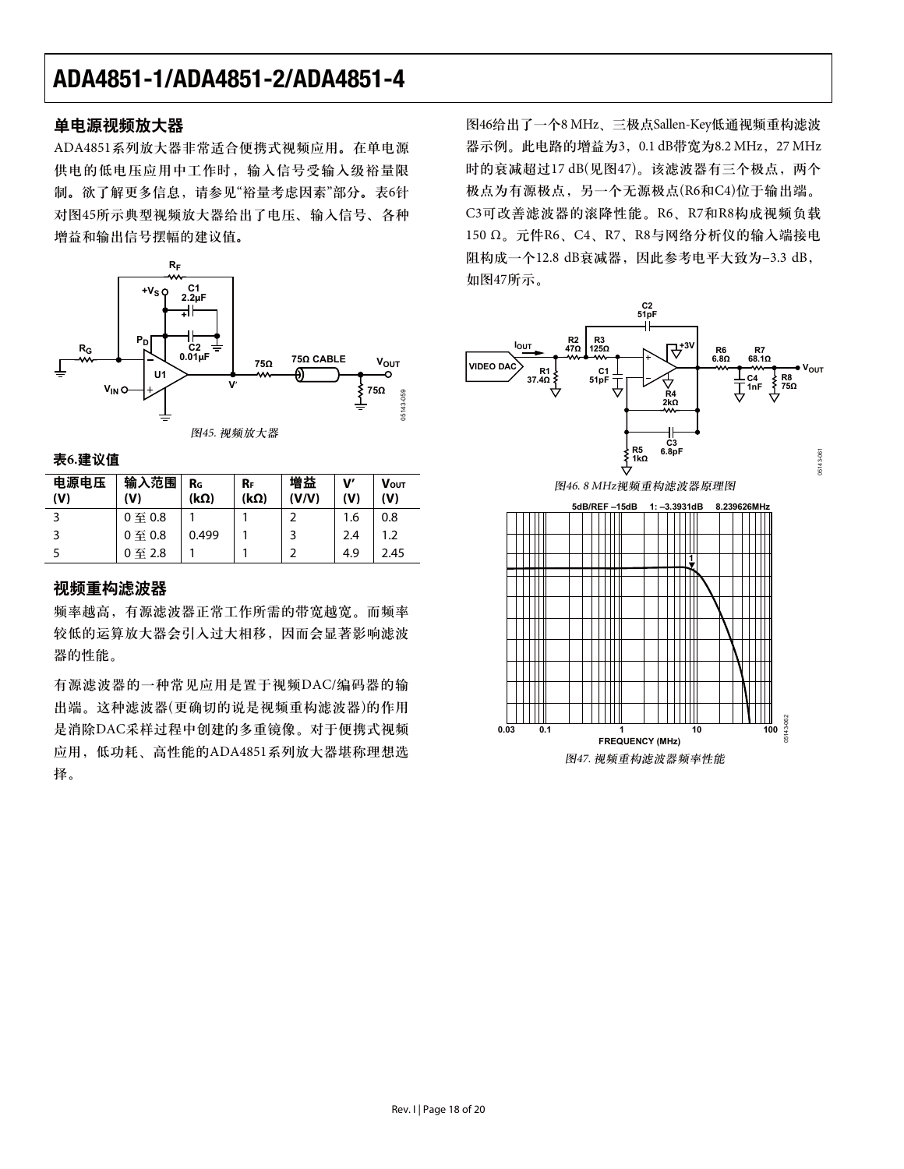#### 单电源视频放大器

ADA4851系列放大器非常适合便携式视频应用。在单电源 供电的低电压应用中工作时, 输入信号受输入级裕量限 制。欲了解更多信息,请参见"裕量考虑因素"部分。表6针 对图45所示典型视频放大器给出了电压、输入信号、各种 增益和输出信号摆幅的建议值。



表6.建议值

| 电源电压<br>(V) | 输入范围<br>(V)        | $R_{G}$<br>$(k\Omega)$ | $R_F$<br>$(k\Omega)$ | 増益<br>(V/V) | $\mathbf{V}'$<br>(V) | <b>VOUT</b><br>(V) |
|-------------|--------------------|------------------------|----------------------|-------------|----------------------|--------------------|
|             | $0 \ncong 0.8$     |                        |                      |             | 1.6                  | 0.8                |
|             | $0 \nsubseteq 0.8$ | 0.499                  |                      |             | 2.4                  | 1.2                |
|             | 0至2.8              |                        |                      |             | 4.9                  | 2.45               |

#### 视频重构滤波器

频率越高,有源滤波器正常工作所需的带宽越宽。而频率 较低的运算放大器会引入过大相移,因而会显著影响滤波 器的性能。

有源滤波器的一种常见应用是置于视频DAC/编码器的输 出端。这种滤波器(更确切的说是视频重构滤波器)的作用 是消除DAC采样过程中创建的多重镜像。对于便携式视频 应用, 低功耗、高性能的ADA4851系列放大器堪称理想选 择。

图46给出了一个8 MHz、三极点Sallen-Key低通视频重构滤波 器示例。此电路的增益为3, 0.1 dB带宽为8.2 MHz, 27 MHz 时的衰减超过17 dB(见图47)。该滤波器有三个极点,两个 极点为有源极点, 另一个无源极点(R6和C4)位于输出端。 C3可改善滤波器的滚降性能。R6、R7和R8构成视频负载  $150$  Ω。元件R6、C4、R7、R8与网络分析仪的输入端接电 阻构成一个12.8 dB衰减器, 因此参考电平大致为-3.3 dB, 如图47所示。



图47. 视频重构滤波器频率性能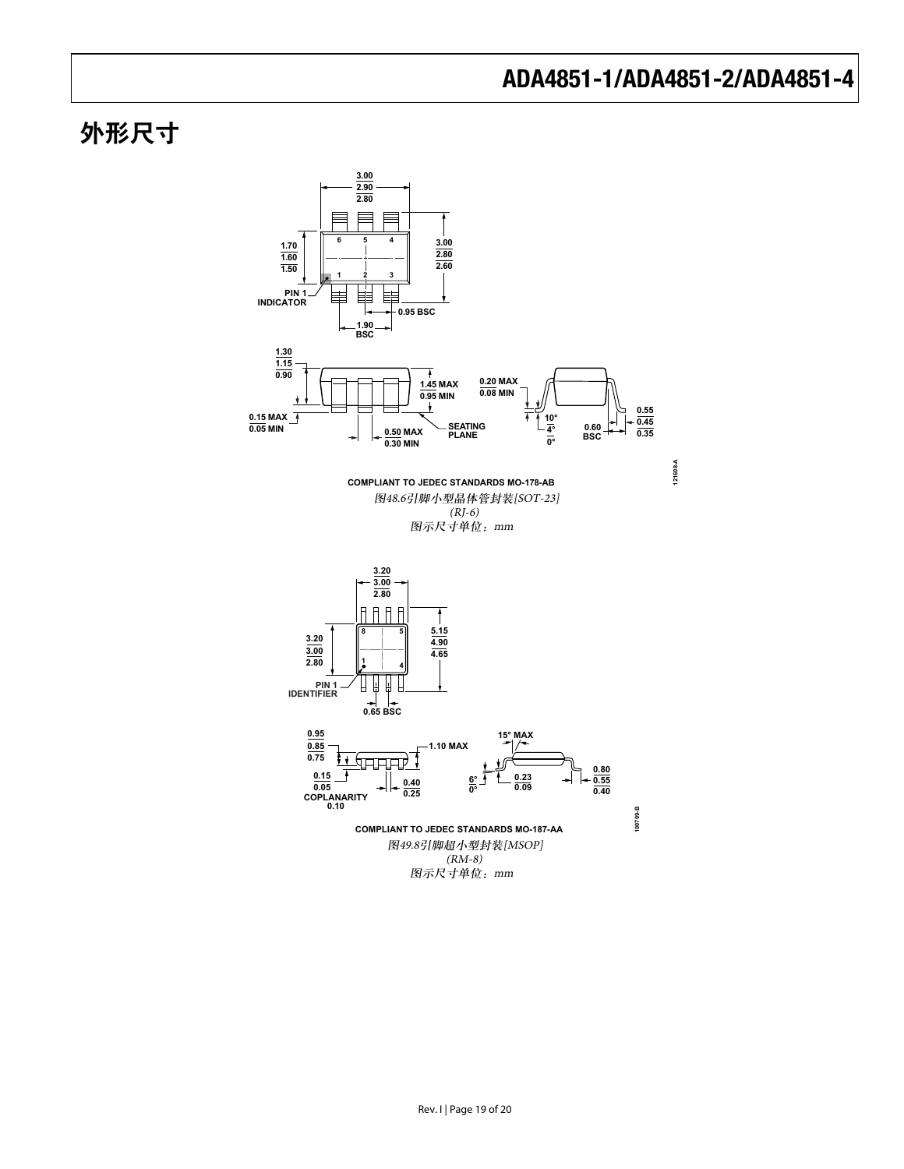# 外形尺寸